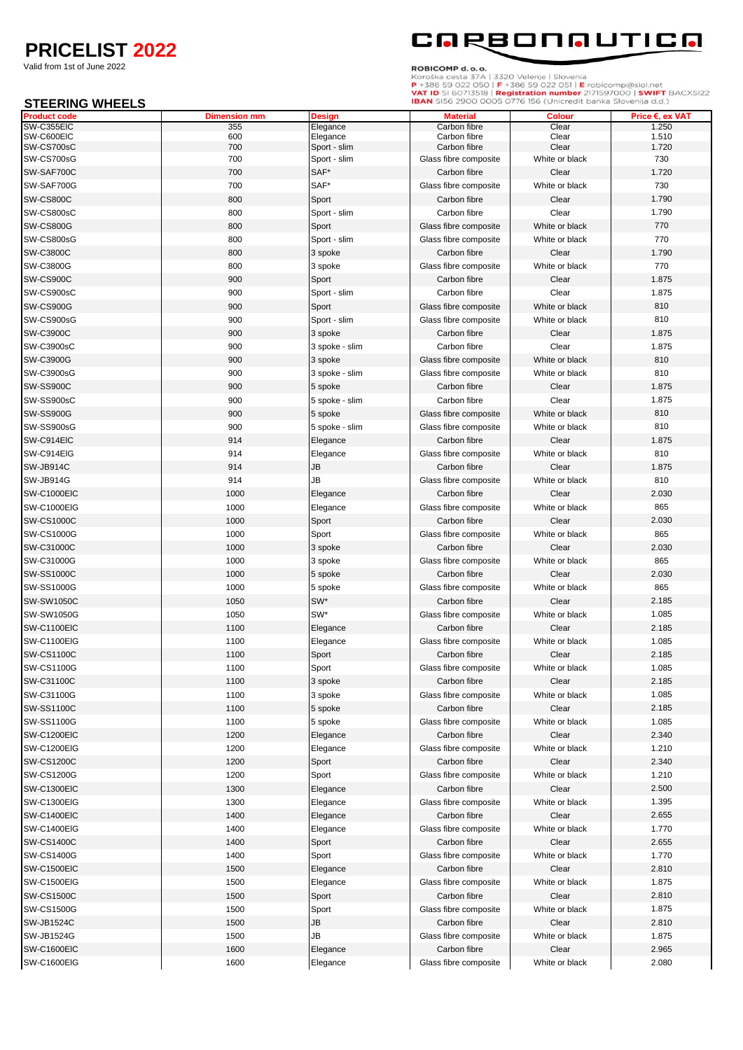## **PRICELIST 2022**

Valid from 1st of June 2022

#### **STEERING WHEELS**



ROBICOMP d. o. o.<br>Koroška cesta 37A | 3320 Velenje | Slovenia<br>P +386 59 022 050 | F +386 59 022 051 | E robicomp@siol.net<br>VAT ID SI 60713518 | Registration number 2171597000 | SWIFT BACXSI22<br>IBAN SI56 2900 0005 0776 156 (U

| <b>STEERING WHEELS</b>            |                     |                      | <b>IBAN</b> SI56 2900 0005 0776 I56 (Unicredit banka Slovenija d.d.) |                |                          |
|-----------------------------------|---------------------|----------------------|----------------------------------------------------------------------|----------------|--------------------------|
| <b>Product code</b><br>SW-C355EIC | <b>Dimension mm</b> | Design               | <b>Material</b>                                                      | <b>Colour</b>  | Price €, ex VAT<br>1.250 |
| SW-C600EIC                        | 355<br>600          | Elegance<br>Elegance | Carbon fibre<br>Carbon fibre                                         | Clear<br>Clear | 1.510                    |
| SW-CS700sC                        | 700                 | Sport - slim         | Carbon fibre                                                         | Clear          | 1.720                    |
| SW-CS700sG                        | 700                 | Sport - slim         | Glass fibre composite                                                | White or black | 730                      |
| SW-SAF700C                        | 700                 | SAF*                 | Carbon fibre                                                         | Clear          | 1.720                    |
| SW-SAF700G                        | 700                 | SAF*                 | Glass fibre composite                                                | White or black | 730                      |
| <b>SW-CS800C</b>                  | 800                 | Sport                | Carbon fibre                                                         | Clear          | 1.790                    |
| SW-CS800sC                        | 800                 | Sport - slim         | Carbon fibre                                                         | Clear          | 1.790                    |
| <b>SW-CS800G</b>                  | 800                 | Sport                | Glass fibre composite                                                | White or black | 770                      |
| SW-CS800sG                        | 800                 | Sport - slim         | Glass fibre composite                                                | White or black | 770                      |
| <b>SW-C3800C</b>                  | 800                 | 3 spoke              | Carbon fibre                                                         | Clear          | 1.790                    |
| SW-C3800G                         | 800                 | 3 spoke              | Glass fibre composite                                                | White or black | 770                      |
| SW-CS900C                         | 900                 | Sport                | Carbon fibre                                                         | Clear          | 1.875                    |
|                                   | 900                 |                      | Carbon fibre                                                         | Clear          | 1.875                    |
| SW-CS900sC                        |                     | Sport - slim         |                                                                      |                | 810                      |
| SW-CS900G                         | 900                 | Sport                | Glass fibre composite                                                | White or black |                          |
| SW-CS900sG                        | 900                 | Sport - slim         | Glass fibre composite                                                | White or black | 810                      |
| SW-C3900C                         | 900                 | 3 spoke              | Carbon fibre                                                         | Clear          | 1.875                    |
| SW-C3900sC                        | 900                 | 3 spoke - slim       | Carbon fibre                                                         | Clear          | 1.875                    |
| <b>SW-C3900G</b>                  | 900                 | 3 spoke              | Glass fibre composite                                                | White or black | 810                      |
| SW-C3900sG                        | 900                 | 3 spoke - slim       | Glass fibre composite                                                | White or black | 810                      |
| <b>SW-SS900C</b>                  | 900                 | 5 spoke              | Carbon fibre                                                         | Clear          | 1.875                    |
| SW-SS900sC                        | 900                 | 5 spoke - slim       | Carbon fibre                                                         | Clear          | 1.875                    |
| <b>SW-SS900G</b>                  | 900                 | 5 spoke              | Glass fibre composite                                                | White or black | 810                      |
| SW-SS900sG                        | 900                 | 5 spoke - slim       | Glass fibre composite                                                | White or black | 810                      |
| SW-C914EIC                        | 914                 | Elegance             | Carbon fibre                                                         | Clear          | 1.875                    |
| SW-C914EIG                        | 914                 | Elegance             | Glass fibre composite                                                | White or black | 810                      |
| SW-JB914C                         | 914                 | JB                   | Carbon fibre                                                         | Clear          | 1.875                    |
| <b>SW-JB914G</b>                  | 914                 | JB                   | Glass fibre composite                                                | White or black | 810                      |
| <b>SW-C1000EIC</b>                | 1000                | Elegance             | Carbon fibre                                                         | Clear          | 2.030                    |
| <b>SW-C1000EIG</b>                | 1000                | Elegance             | Glass fibre composite                                                | White or black | 865                      |
| <b>SW-CS1000C</b>                 | 1000                | Sport                | Carbon fibre                                                         | Clear          | 2.030                    |
| <b>SW-CS1000G</b>                 | 1000                | Sport                | Glass fibre composite                                                | White or black | 865                      |
| SW-C31000C                        | 1000                | 3 spoke              | Carbon fibre                                                         | Clear          | 2.030                    |
| SW-C31000G                        | 1000                | 3 spoke              | Glass fibre composite                                                | White or black | 865                      |
| <b>SW-SS1000C</b>                 | 1000                | 5 spoke              | Carbon fibre                                                         | Clear          | 2.030                    |
| <b>SW-SS1000G</b>                 | 1000                | 5 spoke              | Glass fibre composite                                                | White or black | 865                      |
| <b>SW-SW1050C</b>                 | 1050                | SW*                  | Carbon fibre                                                         | Clear          | 2.185                    |
| <b>SW-SW1050G</b>                 | 1050                | SW*                  | Glass fibre composite                                                | White or black | 1.085                    |
|                                   |                     |                      |                                                                      |                |                          |
| SW-C1100EIC                       | 1100                | Elegance             | Carbon fibre                                                         | Clear          | 2.185                    |
| <b>SW-C1100EIG</b>                | 1100                | Elegance             | Glass fibre composite                                                | White or black | 1.085                    |
| <b>SW-CS1100C</b>                 | 1100                | Sport                | Carbon fibre                                                         | Clear          | 2.185                    |
| <b>SW-CS1100G</b>                 | 1100                | Sport                | Glass fibre composite                                                | White or black | 1.085                    |
| SW-C31100C                        | 1100                | 3 spoke              | Carbon fibre                                                         | Clear          | 2.185                    |
| SW-C31100G                        | 1100                | 3 spoke              | Glass fibre composite                                                | White or black | 1.085                    |
| <b>SW-SS1100C</b>                 | 1100                | 5 spoke              | Carbon fibre                                                         | Clear          | 2.185                    |
| SW-SS1100G                        | 1100                | 5 spoke              | Glass fibre composite                                                | White or black | 1.085                    |
| <b>SW-C1200EIC</b>                | 1200                | Elegance             | Carbon fibre                                                         | Clear          | 2.340                    |
| <b>SW-C1200EIG</b>                | 1200                | Elegance             | Glass fibre composite                                                | White or black | 1.210                    |
| <b>SW-CS1200C</b>                 | 1200                | Sport                | Carbon fibre                                                         | Clear          | 2.340                    |
| <b>SW-CS1200G</b>                 | 1200                | Sport                | Glass fibre composite                                                | White or black | 1.210                    |
| <b>SW-C1300EIC</b>                | 1300                | Elegance             | Carbon fibre                                                         | Clear          | 2.500                    |
| <b>SW-C1300EIG</b>                | 1300                | Elegance             | Glass fibre composite                                                | White or black | 1.395                    |
| <b>SW-C1400EIC</b>                | 1400                | Elegance             | Carbon fibre                                                         | Clear          | 2.655                    |
| SW-C1400EIG                       | 1400                | Elegance             | Glass fibre composite                                                | White or black | 1.770                    |
| <b>SW-CS1400C</b>                 | 1400                | Sport                | Carbon fibre                                                         | Clear          | 2.655                    |
| <b>SW-CS1400G</b>                 | 1400                | Sport                | Glass fibre composite                                                | White or black | 1.770                    |
| <b>SW-C1500EIC</b>                | 1500                | Elegance             | Carbon fibre                                                         | Clear          | 2.810                    |
| <b>SW-C1500EIG</b>                | 1500                | Elegance             | Glass fibre composite                                                | White or black | 1.875                    |
| <b>SW-CS1500C</b>                 | 1500                | Sport                | Carbon fibre                                                         | Clear          | 2.810                    |
| <b>SW-CS1500G</b>                 | 1500                | Sport                | Glass fibre composite                                                | White or black | 1.875                    |
| <b>SW-JB1524C</b>                 | 1500                | JB                   | Carbon fibre                                                         | Clear          | 2.810                    |
| <b>SW-JB1524G</b>                 |                     |                      |                                                                      | White or black | 1.875                    |
|                                   | 1500                | JB                   | Glass fibre composite                                                |                |                          |
| <b>SW-C1600EIC</b>                | 1600                | Elegance             | Carbon fibre                                                         | Clear          | 2.965                    |
| SW-C1600EIG                       | 1600                | Elegance             | Glass fibre composite                                                | White or black | 2.080                    |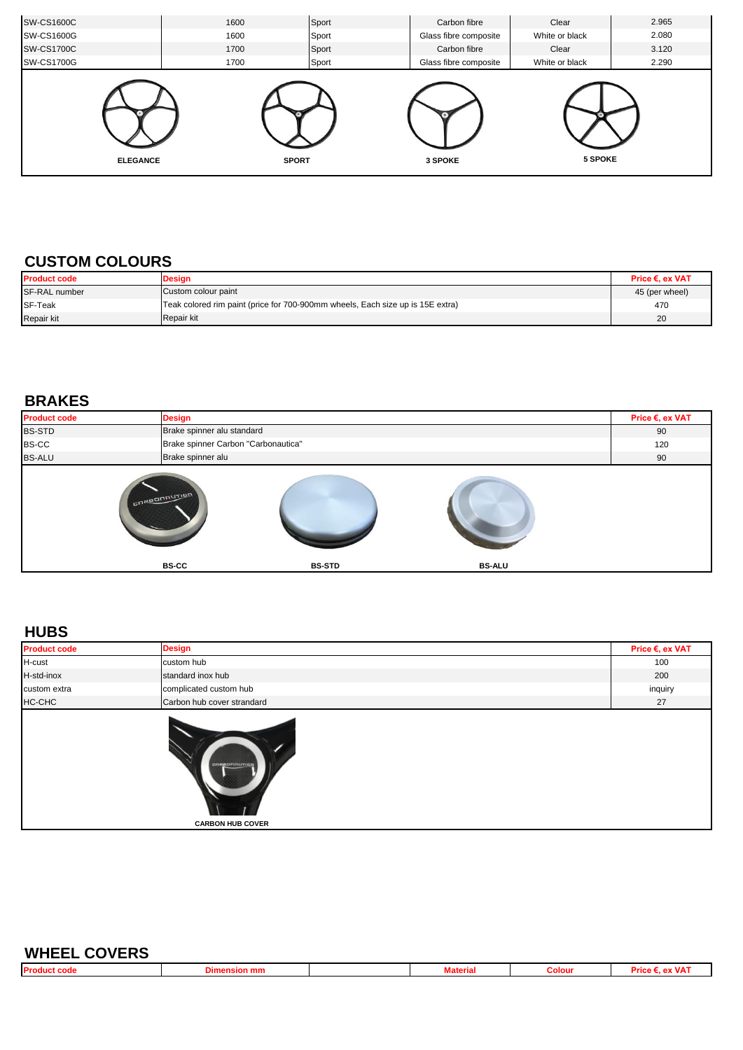| <b>SW-CS1600C</b> | 1600 | Sport        | Carbon fibre          | Clear          | 2.965 |
|-------------------|------|--------------|-----------------------|----------------|-------|
| <b>SW-CS1600G</b> | 1600 | Sport        | Glass fibre composite | White or black | 2.080 |
| <b>SW-CS1700C</b> | 1700 | Sport        | Carbon fibre          | Clear          | 3.120 |
| <b>SW-CS1700G</b> | 1700 | Sport        | Glass fibre composite | White or black | 2.290 |
| <b>ELEGANCE</b>   |      | <b>SPORT</b> | 3 SPOKE               | 5 SPOKE        |       |

#### **CUSTOM COLOURS**

| <b>Product code</b> | <b>Design</b>                                                                  | Price €. ex VAT |
|---------------------|--------------------------------------------------------------------------------|-----------------|
| SF-RAL number       | Custom colour paint                                                            | 45 (per wheel)  |
| SF-Teak             | Teak colored rim paint (price for 700-900mm wheels, Each size up is 15E extra) | 470             |
| Repair kit          | Repair kit                                                                     | 20              |

#### **BRAKES**

| <b>Product code</b> | <b>Design</b>                       |                            |               | Price €, ex VAT |  |  |  |
|---------------------|-------------------------------------|----------------------------|---------------|-----------------|--|--|--|
| <b>BS-STD</b>       |                                     | Brake spinner alu standard |               |                 |  |  |  |
| <b>BS-CC</b>        | Brake spinner Carbon "Carbonautica" |                            |               | 120             |  |  |  |
| <b>BS-ALU</b>       | Brake spinner alu                   |                            |               | 90              |  |  |  |
|                     | corponaution<br><b>BS-CC</b>        | <b>BS-STD</b>              | <b>BS-ALU</b> |                 |  |  |  |

#### **HUBS**

| <b>Product code</b> | <b>Design</b>                          | Price €, ex VAT |
|---------------------|----------------------------------------|-----------------|
| H-cust              | custom hub                             | 100             |
| H-std-inox          | standard inox hub                      | 200             |
| custom extra        | complicated custom hub                 | inquiry         |
| HC-CHC              | Carbon hub cover strandard             | 27              |
|                     | cresonnumos<br><b>CARBON HUB COVER</b> |                 |

| <b>WHEEL COVERS</b> |                     |                 |        |  |
|---------------------|---------------------|-----------------|--------|--|
|                     | <b>Dimension mm</b> | <b>Material</b> | Colour |  |